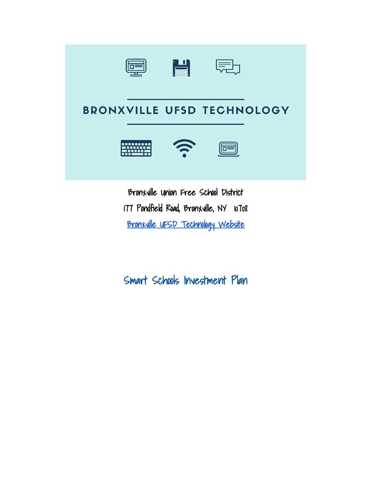

# **BRONXVILLE UFSD TECHNOLOGY**





Bronxville Union Free School District 177 Pondfield Road, Bronxville, NY 10708 [Bronxville UFSD Technology Website](http://bronxvilletech.weebly.com/) 

Smart Schools Investment Plan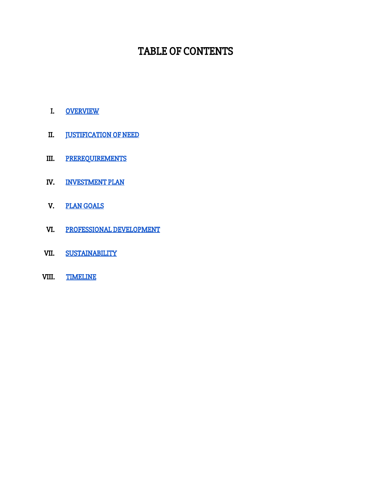## TABLE OF CONTENTS

- I. [OVERVIEW](#page-2-0)
- II. **JUSTIFICATION OF NEED**
- III. [PREREQUIREMENTS](#page-3-1)
- IV. [INVESTMENT PLAN](#page-3-2)
- V. [PLAN GOALS](#page-4-0)
- VI. [PROFESSIONAL DEVELOPMENT](#page-5-0)
- VII. [SUSTAINABILITY](#page-5-1)
- VIII. [TIMELINE](#page-5-2)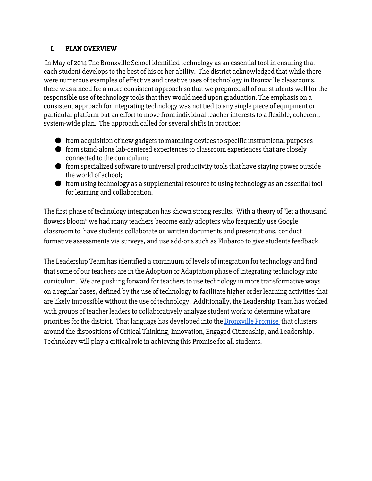## <span id="page-2-0"></span>I. PLAN OVERVIEW

In May of 2014 The Bronxville School identified technology as an essential tool in ensuring that each student develops to the best of his or her ability. The district acknowledged that while there were numerous examples of effective and creative uses of technology in Bronxville classrooms, there was a need for a more consistent approach so that we prepared all of our students well for the responsible use of technology tools that they would need upon graduation. The emphasis on a consistent approach for integrating technology was not tied to any single piece of equipment or particular platform but an effort to move from individual teacher interests to a flexible, coherent, system-wide plan. The approach called for several shifts in practice:

- from acquisition of new gadgets to matching devices to specific instructional purposes
- from stand-alone lab-centered experiences to classroom experiences that are closely connected to the curriculum;
- from specialized software to universal productivity tools that have staying power outside the world of school;
- from using technology as a supplemental resource to using technology as an essential tool for learning and collaboration.

The first phase of technology integration has shown strong results. With a theory of "let a thousand flowers bloom" we had many teachers become early adopters who frequently use Google classroom to have students collaborate on written documents and presentations, conduct formative assessments via surveys, and use add-ons such as Flubaroo to give students feedback.

The Leadership Team has identified a continuum of levels of integration for technology and find that some of our teachers are in the Adoption or Adaptation phase of integrating technology into curriculum. We are pushing forward for teachers to use technology in more transformative ways on a regular bases, defined by the use of technology to facilitate higher order learning activities that are likely impossible without the use of technology. Additionally, the Leadership Team has worked with groups of teacher leaders to collaboratively analyze student work to determine what are priorities for the district. That language has developed into the [Bronxville](http://www.bronxvilleschool.org/about/bronxville-promise1/bronxville-promise1-21/) Promise that clusters around the dispositions of Critical Thinking, Innovation, Engaged Citizenship, and Leadership. Technology will play a critical role in achieving this Promise for all students.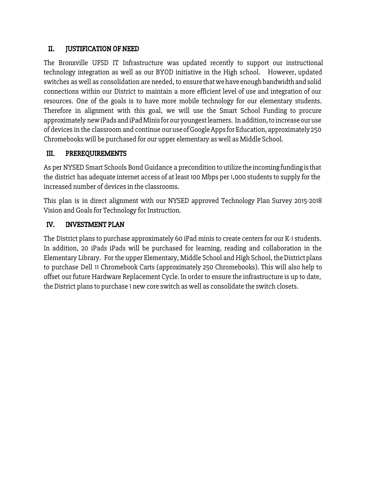### <span id="page-3-0"></span>II. JUSTIFICATION OF NEED

The Bronxville UFSD IT Infrastructure was updated recently to support our instructional technology integration as well as our BYOD initiative in the High school. However, updated switches as well as consolidation are needed, to ensure that we have enough bandwidth and solid connections within our District to maintain a more efficient level of use and integration of our resources. One of the goals is to have more mobile technology for our elementary students. Therefore in alignment with this goal, we will use the Smart School Funding to procure approximately new iPads and iPad Minis for our youngest learners. In addition, to increase our use of devices in the classroom and continue ouruse ofGoogleApps forEducation, approximately 250 Chromebooks will be purchased for our upper elementary as well as Middle School.

## <span id="page-3-1"></span>III. PREREQUIREMENTS

As per NYSED Smart Schools Bond Guidance a precondition toutilize the incoming funding is that the district has adequate internet access of at least 100 Mbps per 1,000 students to supply for the increased number of devices in the classrooms.

This plan is in direct alignment with our NYSED approved Technology Plan Survey 2015-2018 Vision and Goals for Technology for Instruction.

## <span id="page-3-2"></span>IV. INVESTMENT PLAN

The District plans to purchase approximately 60 iPad minis to create centers for our K-1 students. In addition, 20 iPads iPads will be purchased for learning, reading and collaboration in the Elementary Library. For the upper Elementary, Middle School and High School, the District plans to purchase Dell 11 Chromebook Carts (approximately 250 Chromebooks). This will also help to offset our future Hardware Replacement Cycle. In order to ensure the infrastructure is up to date, the District plans to purchase 1 new core switch as well as consolidate the switch closets.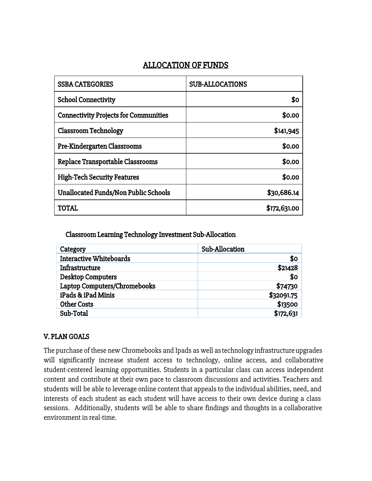## ALLOCATION OF FUNDS

| <b>SSBA CATEGORIES</b>                       | <b>SUB-ALLOCATIONS</b> |
|----------------------------------------------|------------------------|
| <b>School Connectivity</b>                   | \$0                    |
| <b>Connectivity Projects for Communities</b> | \$0.00                 |
| <b>Classroom Technology</b>                  | \$141,945              |
| Pre-Kindergarten Classrooms                  | \$0.00                 |
| Replace Transportable Classrooms             | \$0.00                 |
| <b>High-Tech Security Features</b>           | \$0.00                 |
| <b>Unallocated Funds/Non Public Schools</b>  | \$30,686.14            |
| TOTAL                                        | \$172,631.00           |

Classroom Learning Technology Investment Sub-Allocation

| Category                       | Sub-Allocation |
|--------------------------------|----------------|
| <b>Interactive Whiteboards</b> | \$0            |
| Infrastructure                 | \$21428        |
| <b>Desktop Computers</b>       | \$0            |
| Laptop Computers/Chromebooks   | \$74730        |
| iPads & iPad Minis             | \$32091.75     |
| <b>Other Costs</b>             | \$13500        |
| Sub-Total                      | \$172,631      |

## <span id="page-4-0"></span>V. PLAN GOALS

The purchase of these new Chromebooks and Ipads as well as technology infrastructure upgrades will significantly increase student access to technology, online access, and collaborative student-centered learning opportunities. Students in a particular class can access independent content and contribute at their own pace to classroom discussions and activities. Teachers and students will be able to leverage online content that appeals to the individual abilities, need, and interests of each student as each student will have access to their own device during a class sessions. Additionally, students will be able to share findings and thoughts in a collaborative environment in real-time.